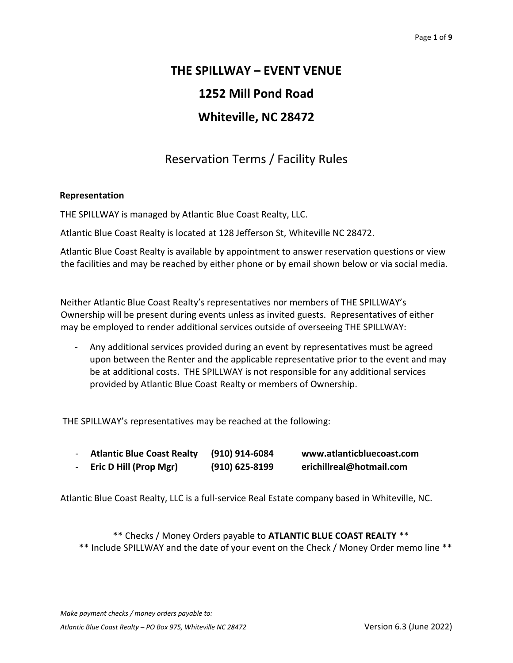# **THE SPILLWAY – EVENT VENUE 1252 Mill Pond Road Whiteville, NC 28472**

## Reservation Terms / Facility Rules

## **Representation**

THE SPILLWAY is managed by Atlantic Blue Coast Realty, LLC.

Atlantic Blue Coast Realty is located at 128 Jefferson St, Whiteville NC 28472.

Atlantic Blue Coast Realty is available by appointment to answer reservation questions or view the facilities and may be reached by either phone or by email shown below or via social media.

Neither Atlantic Blue Coast Realty's representatives nor members of THE SPILLWAY's Ownership will be present during events unless as invited guests. Representatives of either may be employed to render additional services outside of overseeing THE SPILLWAY:

- Any additional services provided during an event by representatives must be agreed upon between the Renter and the applicable representative prior to the event and may be at additional costs. THE SPILLWAY is not responsible for any additional services provided by Atlantic Blue Coast Realty or members of Ownership.

THE SPILLWAY's representatives may be reached at the following:

| <b>Atlantic Blue Coast Realty</b> | (910) 914-6084   | www.atlanticbluecoast.com |
|-----------------------------------|------------------|---------------------------|
| <b>Eric D Hill (Prop Mgr)</b>     | $(910)$ 625-8199 | erichillreal@hotmail.com  |

Atlantic Blue Coast Realty, LLC is a full-service Real Estate company based in Whiteville, NC.

\*\* Checks / Money Orders payable to **ATLANTIC BLUE COAST REALTY** \*\* \*\* Include SPILLWAY and the date of your event on the Check / Money Order memo line \*\*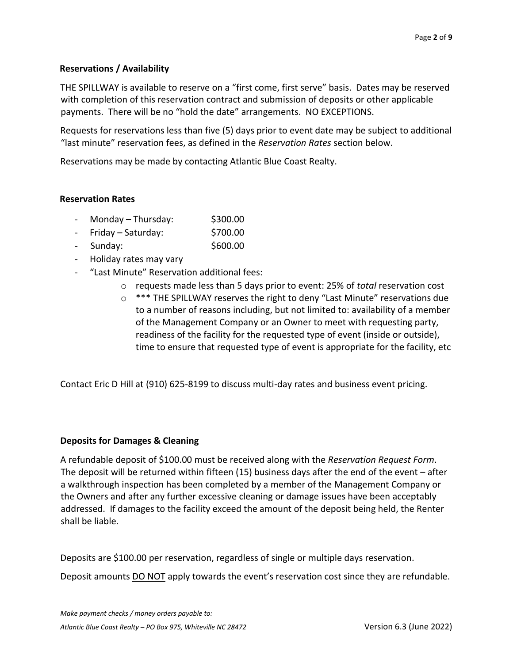## **Reservations / Availability**

THE SPILLWAY is available to reserve on a "first come, first serve" basis. Dates may be reserved with completion of this reservation contract and submission of deposits or other applicable payments. There will be no "hold the date" arrangements. NO EXCEPTIONS.

Requests for reservations less than five (5) days prior to event date may be subject to additional "last minute" reservation fees, as defined in the *Reservation Rates* section below.

Reservations may be made by contacting Atlantic Blue Coast Realty.

#### **Reservation Rates**

- $Monday Thursday:$ \$300.00
- Friday Saturday: \$700.00
- Sunday: \$600.00
- Holiday rates may vary
- "Last Minute" Reservation additional fees:
	- o requests made less than 5 days prior to event: 25% of *total* reservation cost
	- $\circ$  \*\*\* THE SPILLWAY reserves the right to deny "Last Minute" reservations due to a number of reasons including, but not limited to: availability of a member of the Management Company or an Owner to meet with requesting party, readiness of the facility for the requested type of event (inside or outside), time to ensure that requested type of event is appropriate for the facility, etc

Contact Eric D Hill at (910) 625-8199 to discuss multi-day rates and business event pricing.

#### **Deposits for Damages & Cleaning**

A refundable deposit of \$100.00 must be received along with the *Reservation Request Form*. The deposit will be returned within fifteen (15) business days after the end of the event – after a walkthrough inspection has been completed by a member of the Management Company or the Owners and after any further excessive cleaning or damage issues have been acceptably addressed. If damages to the facility exceed the amount of the deposit being held, the Renter shall be liable.

Deposits are \$100.00 per reservation, regardless of single or multiple days reservation.

Deposit amounts DO NOT apply towards the event's reservation cost since they are refundable.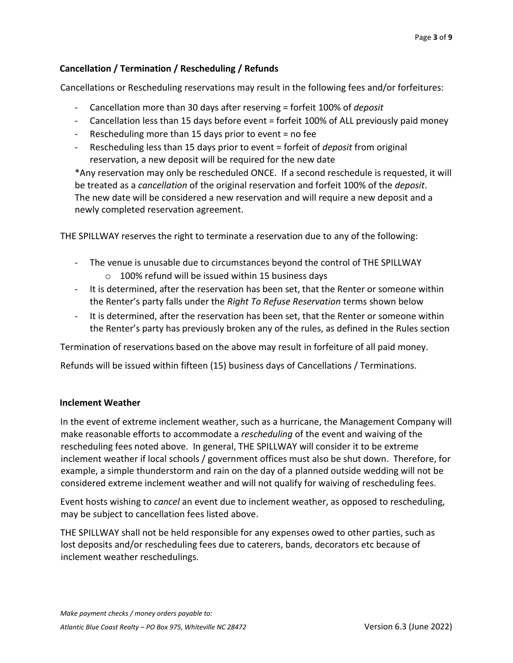## **Cancellation / Termination / Rescheduling / Refunds**

Cancellations or Rescheduling reservations may result in the following fees and/or forfeitures:

- Cancellation more than 30 days after reserving = forfeit 100% of *deposit*
- Cancellation less than 15 days before event = forfeit 100% of ALL previously paid money
- Rescheduling more than 15 days prior to event = no fee
- Rescheduling less than 15 days prior to event = forfeit of *deposit* from original reservation, a new deposit will be required for the new date

\*Any reservation may only be rescheduled ONCE. If a second reschedule is requested, it will be treated as a *cancellation* of the original reservation and forfeit 100% of the *deposit*. The new date will be considered a new reservation and will require a new deposit and a newly completed reservation agreement.

THE SPILLWAY reserves the right to terminate a reservation due to any of the following:

- The venue is unusable due to circumstances beyond the control of THE SPILLWAY o 100% refund will be issued within 15 business days
- It is determined, after the reservation has been set, that the Renter or someone within the Renter's party falls under the *Right To Refuse Reservation* terms shown below
- It is determined, after the reservation has been set, that the Renter or someone within the Renter's party has previously broken any of the rules, as defined in the Rules section

Termination of reservations based on the above may result in forfeiture of all paid money.

Refunds will be issued within fifteen (15) business days of Cancellations / Terminations.

## **Inclement Weather**

In the event of extreme inclement weather, such as a hurricane, the Management Company will make reasonable efforts to accommodate a *rescheduling* of the event and waiving of the rescheduling fees noted above. In general, THE SPILLWAY will consider it to be extreme inclement weather if local schools / government offices must also be shut down. Therefore, for example, a simple thunderstorm and rain on the day of a planned outside wedding will not be considered extreme inclement weather and will not qualify for waiving of rescheduling fees.

Event hosts wishing to *cancel* an event due to inclement weather, as opposed to rescheduling, may be subject to cancellation fees listed above.

THE SPILLWAY shall not be held responsible for any expenses owed to other parties, such as lost deposits and/or rescheduling fees due to caterers, bands, decorators etc because of inclement weather reschedulings.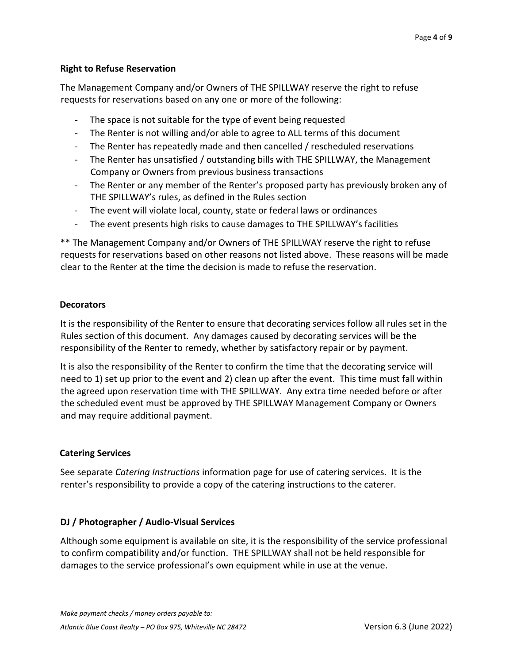## **Right to Refuse Reservation**

The Management Company and/or Owners of THE SPILLWAY reserve the right to refuse requests for reservations based on any one or more of the following:

- The space is not suitable for the type of event being requested
- The Renter is not willing and/or able to agree to ALL terms of this document
- The Renter has repeatedly made and then cancelled / rescheduled reservations
- The Renter has unsatisfied / outstanding bills with THE SPILLWAY, the Management Company or Owners from previous business transactions
- The Renter or any member of the Renter's proposed party has previously broken any of THE SPILLWAY's rules, as defined in the Rules section
- The event will violate local, county, state or federal laws or ordinances
- The event presents high risks to cause damages to THE SPILLWAY's facilities

\*\* The Management Company and/or Owners of THE SPILLWAY reserve the right to refuse requests for reservations based on other reasons not listed above. These reasons will be made clear to the Renter at the time the decision is made to refuse the reservation.

## **Decorators**

It is the responsibility of the Renter to ensure that decorating services follow all rules set in the Rules section of this document. Any damages caused by decorating services will be the responsibility of the Renter to remedy, whether by satisfactory repair or by payment.

It is also the responsibility of the Renter to confirm the time that the decorating service will need to 1) set up prior to the event and 2) clean up after the event. This time must fall within the agreed upon reservation time with THE SPILLWAY. Any extra time needed before or after the scheduled event must be approved by THE SPILLWAY Management Company or Owners and may require additional payment.

## **Catering Services**

See separate *Catering Instructions* information page for use of catering services. It is the renter's responsibility to provide a copy of the catering instructions to the caterer.

## **DJ / Photographer / Audio-Visual Services**

Although some equipment is available on site, it is the responsibility of the service professional to confirm compatibility and/or function. THE SPILLWAY shall not be held responsible for damages to the service professional's own equipment while in use at the venue.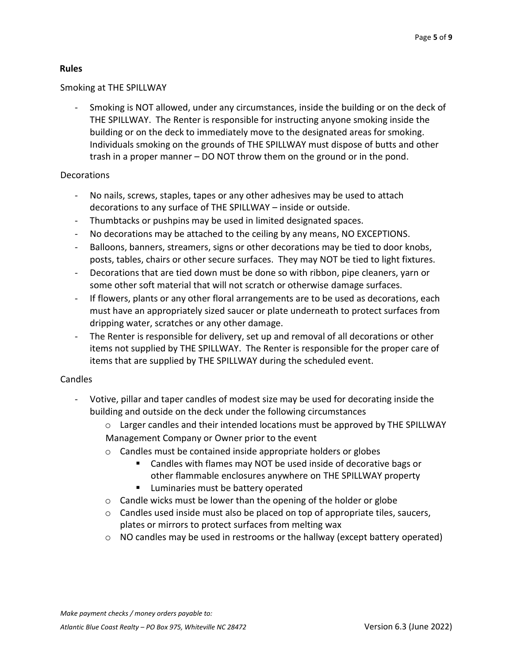## **Rules**

## Smoking at THE SPILLWAY

- Smoking is NOT allowed, under any circumstances, inside the building or on the deck of THE SPILLWAY. The Renter is responsible for instructing anyone smoking inside the building or on the deck to immediately move to the designated areas for smoking. Individuals smoking on the grounds of THE SPILLWAY must dispose of butts and other trash in a proper manner – DO NOT throw them on the ground or in the pond.

## Decorations

- No nails, screws, staples, tapes or any other adhesives may be used to attach decorations to any surface of THE SPILLWAY – inside or outside.
- Thumbtacks or pushpins may be used in limited designated spaces.
- No decorations may be attached to the ceiling by any means, NO EXCEPTIONS.
- Balloons, banners, streamers, signs or other decorations may be tied to door knobs, posts, tables, chairs or other secure surfaces. They may NOT be tied to light fixtures.
- Decorations that are tied down must be done so with ribbon, pipe cleaners, yarn or some other soft material that will not scratch or otherwise damage surfaces.
- If flowers, plants or any other floral arrangements are to be used as decorations, each must have an appropriately sized saucer or plate underneath to protect surfaces from dripping water, scratches or any other damage.
- The Renter is responsible for delivery, set up and removal of all decorations or other items not supplied by THE SPILLWAY. The Renter is responsible for the proper care of items that are supplied by THE SPILLWAY during the scheduled event.

## Candles

- Votive, pillar and taper candles of modest size may be used for decorating inside the building and outside on the deck under the following circumstances
	- $\circ$  Larger candles and their intended locations must be approved by THE SPILLWAY Management Company or Owner prior to the event
	- o Candles must be contained inside appropriate holders or globes
		- Candles with flames may NOT be used inside of decorative bags or other flammable enclosures anywhere on THE SPILLWAY property
		- Luminaries must be battery operated
	- o Candle wicks must be lower than the opening of the holder or globe
	- $\circ$  Candles used inside must also be placed on top of appropriate tiles, saucers, plates or mirrors to protect surfaces from melting wax
	- o NO candles may be used in restrooms or the hallway (except battery operated)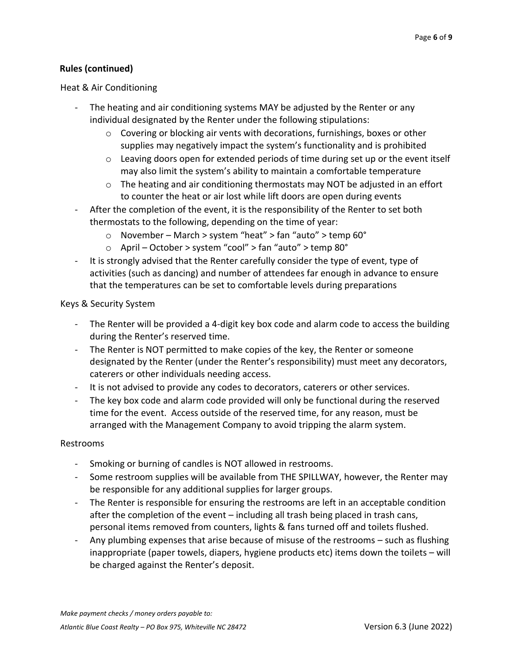## **Rules (continued)**

#### Heat & Air Conditioning

- The heating and air conditioning systems MAY be adjusted by the Renter or any individual designated by the Renter under the following stipulations:
	- o Covering or blocking air vents with decorations, furnishings, boxes or other supplies may negatively impact the system's functionality and is prohibited
	- $\circ$  Leaving doors open for extended periods of time during set up or the event itself may also limit the system's ability to maintain a comfortable temperature
	- $\circ$  The heating and air conditioning thermostats may NOT be adjusted in an effort to counter the heat or air lost while lift doors are open during events
- After the completion of the event, it is the responsibility of the Renter to set both thermostats to the following, depending on the time of year:
	- o November March > system "heat" > fan "auto" > temp 60°
	- o April October > system "cool" > fan "auto" > temp 80°
- It is strongly advised that the Renter carefully consider the type of event, type of activities (such as dancing) and number of attendees far enough in advance to ensure that the temperatures can be set to comfortable levels during preparations

#### Keys & Security System

- The Renter will be provided a 4-digit key box code and alarm code to access the building during the Renter's reserved time.
- The Renter is NOT permitted to make copies of the key, the Renter or someone designated by the Renter (under the Renter's responsibility) must meet any decorators, caterers or other individuals needing access.
- It is not advised to provide any codes to decorators, caterers or other services.
- The key box code and alarm code provided will only be functional during the reserved time for the event. Access outside of the reserved time, for any reason, must be arranged with the Management Company to avoid tripping the alarm system.

#### Restrooms

- Smoking or burning of candles is NOT allowed in restrooms.
- Some restroom supplies will be available from THE SPILLWAY, however, the Renter may be responsible for any additional supplies for larger groups.
- The Renter is responsible for ensuring the restrooms are left in an acceptable condition after the completion of the event – including all trash being placed in trash cans, personal items removed from counters, lights & fans turned off and toilets flushed.
- Any plumbing expenses that arise because of misuse of the restrooms such as flushing inappropriate (paper towels, diapers, hygiene products etc) items down the toilets – will be charged against the Renter's deposit.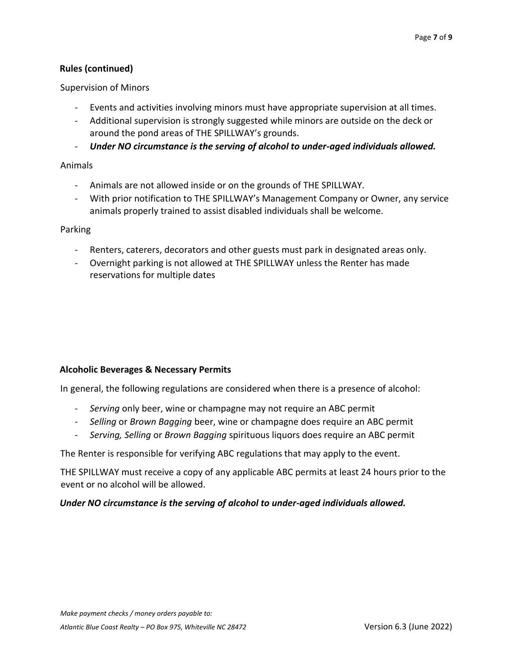## **Rules (continued)**

Supervision of Minors

- Events and activities involving minors must have appropriate supervision at all times.
- Additional supervision is strongly suggested while minors are outside on the deck or around the pond areas of THE SPILLWAY's grounds.
- *Under NO circumstance is the serving of alcohol to under-aged individuals allowed.*

#### Animals

- Animals are not allowed inside or on the grounds of THE SPILLWAY.
- With prior notification to THE SPILLWAY's Management Company or Owner, any service animals properly trained to assist disabled individuals shall be welcome.

#### Parking

- Renters, caterers, decorators and other guests must park in designated areas only.
- Overnight parking is not allowed at THE SPILLWAY unless the Renter has made reservations for multiple dates

## **Alcoholic Beverages & Necessary Permits**

In general, the following regulations are considered when there is a presence of alcohol:

- *Serving* only beer, wine or champagne may not require an ABC permit
- *Selling* or *Brown Bagging* beer, wine or champagne does require an ABC permit
- *Serving, Selling* or *Brown Bagging* spirituous liquors does require an ABC permit

The Renter is responsible for verifying ABC regulations that may apply to the event.

THE SPILLWAY must receive a copy of any applicable ABC permits at least 24 hours prior to the event or no alcohol will be allowed.

## *Under NO circumstance is the serving of alcohol to under-aged individuals allowed.*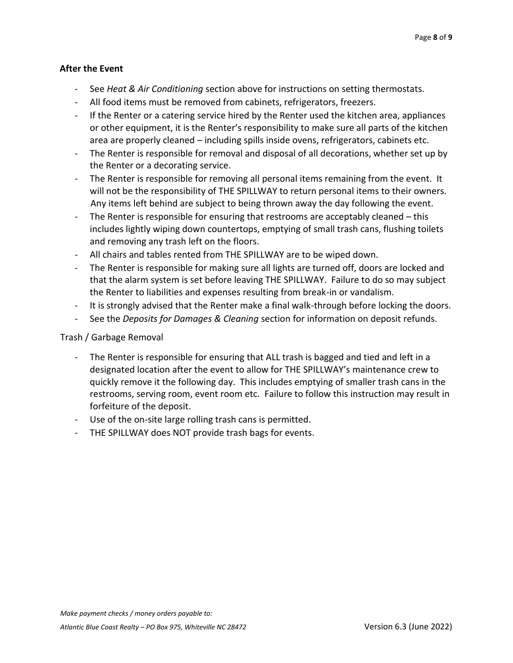## **After the Event**

- See *Heat & Air Conditioning* section above for instructions on setting thermostats.
- All food items must be removed from cabinets, refrigerators, freezers.
- If the Renter or a catering service hired by the Renter used the kitchen area, appliances or other equipment, it is the Renter's responsibility to make sure all parts of the kitchen area are properly cleaned – including spills inside ovens, refrigerators, cabinets etc.
- The Renter is responsible for removal and disposal of all decorations, whether set up by the Renter or a decorating service.
- The Renter is responsible for removing all personal items remaining from the event. It will not be the responsibility of THE SPILLWAY to return personal items to their owners. Any items left behind are subject to being thrown away the day following the event.
- The Renter is responsible for ensuring that restrooms are acceptably cleaned  $-$  this includes lightly wiping down countertops, emptying of small trash cans, flushing toilets and removing any trash left on the floors.
- All chairs and tables rented from THE SPILLWAY are to be wiped down.
- The Renter is responsible for making sure all lights are turned off, doors are locked and that the alarm system is set before leaving THE SPILLWAY. Failure to do so may subject the Renter to liabilities and expenses resulting from break-in or vandalism.
- It is strongly advised that the Renter make a final walk-through before locking the doors.
- See the *Deposits for Damages & Cleaning* section for information on deposit refunds.

## Trash / Garbage Removal

- The Renter is responsible for ensuring that ALL trash is bagged and tied and left in a designated location after the event to allow for THE SPILLWAY's maintenance crew to quickly remove it the following day. This includes emptying of smaller trash cans in the restrooms, serving room, event room etc. Failure to follow this instruction may result in forfeiture of the deposit.
- Use of the on-site large rolling trash cans is permitted.
- THE SPILLWAY does NOT provide trash bags for events.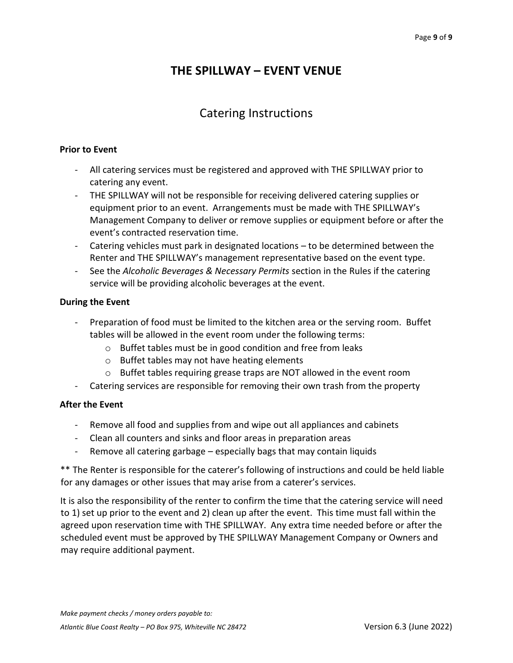## **THE SPILLWAY – EVENT VENUE**

## Catering Instructions

#### **Prior to Event**

- All catering services must be registered and approved with THE SPILLWAY prior to catering any event.
- THE SPILLWAY will not be responsible for receiving delivered catering supplies or equipment prior to an event. Arrangements must be made with THE SPILLWAY's Management Company to deliver or remove supplies or equipment before or after the event's contracted reservation time.
- Catering vehicles must park in designated locations to be determined between the Renter and THE SPILLWAY's management representative based on the event type.
- See the *Alcoholic Beverages & Necessary Permits* section in the Rules if the catering service will be providing alcoholic beverages at the event.

## **During the Event**

- Preparation of food must be limited to the kitchen area or the serving room. Buffet tables will be allowed in the event room under the following terms:
	- o Buffet tables must be in good condition and free from leaks
	- o Buffet tables may not have heating elements
	- o Buffet tables requiring grease traps are NOT allowed in the event room
- Catering services are responsible for removing their own trash from the property

## **After the Event**

- Remove all food and supplies from and wipe out all appliances and cabinets
- Clean all counters and sinks and floor areas in preparation areas
- Remove all catering garbage especially bags that may contain liquids

\*\* The Renter is responsible for the caterer's following of instructions and could be held liable for any damages or other issues that may arise from a caterer's services.

It is also the responsibility of the renter to confirm the time that the catering service will need to 1) set up prior to the event and 2) clean up after the event. This time must fall within the agreed upon reservation time with THE SPILLWAY. Any extra time needed before or after the scheduled event must be approved by THE SPILLWAY Management Company or Owners and may require additional payment.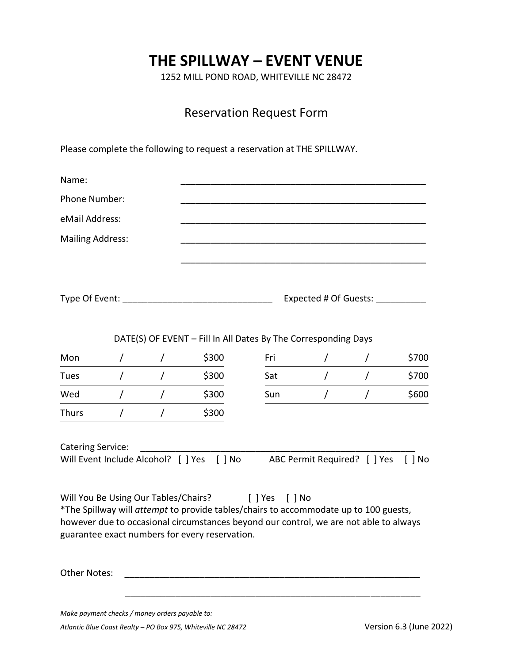# **THE SPILLWAY – EVENT VENUE**

1252 MILL POND ROAD, WHITEVILLE NC 28472

## Reservation Request Form

Please complete the following to request a reservation at THE SPILLWAY.

| Name:                    |                     |            |                                                                                                                                         |                |                           |                              |              |
|--------------------------|---------------------|------------|-----------------------------------------------------------------------------------------------------------------------------------------|----------------|---------------------------|------------------------------|--------------|
| Phone Number:            |                     |            |                                                                                                                                         |                |                           |                              |              |
| eMail Address:           |                     |            |                                                                                                                                         |                |                           |                              |              |
| <b>Mailing Address:</b>  |                     |            |                                                                                                                                         |                |                           |                              |              |
|                          |                     |            |                                                                                                                                         |                |                           |                              |              |
|                          |                     |            |                                                                                                                                         |                |                           |                              |              |
|                          | Type Of Event: ____ |            |                                                                                                                                         |                | Expected # Of Guests: ___ |                              |              |
|                          |                     |            |                                                                                                                                         |                |                           |                              |              |
|                          |                     |            | DATE(S) OF EVENT - Fill In All Dates By The Corresponding Days                                                                          |                |                           |                              |              |
| Mon                      | $\prime$            | $\sqrt{2}$ | \$300                                                                                                                                   | Fri            | $\prime$                  | T                            | \$700        |
| Tues                     | Τ                   | $\prime$   | \$300                                                                                                                                   | Sat            | $\overline{I}$            | $\prime$                     | \$700        |
| Wed                      | $\prime$            |            | \$300                                                                                                                                   | Sun            | $\prime$                  |                              | \$600        |
| <b>Thurs</b>             |                     |            | \$300                                                                                                                                   |                |                           |                              |              |
|                          |                     |            |                                                                                                                                         |                |                           |                              |              |
| <b>Catering Service:</b> |                     |            | Will Event Include Alcohol? [ ] Yes [ ] No                                                                                              |                |                           | ABC Permit Required? [ ] Yes | $\vert$   No |
|                          |                     |            |                                                                                                                                         |                |                           |                              |              |
|                          |                     |            | Will You Be Using Our Tables/Chairs?                                                                                                    | [ ] Yes [ ] No |                           |                              |              |
|                          |                     |            | *The Spillway will attempt to provide tables/chairs to accommodate up to 100 guests,                                                    |                |                           |                              |              |
|                          |                     |            | however due to occasional circumstances beyond our control, we are not able to always<br>guarantee exact numbers for every reservation. |                |                           |                              |              |
|                          |                     |            |                                                                                                                                         |                |                           |                              |              |
| <b>Other Notes:</b>      |                     |            |                                                                                                                                         |                |                           |                              |              |
|                          |                     |            |                                                                                                                                         |                |                           |                              |              |
|                          |                     |            |                                                                                                                                         |                |                           |                              |              |

*Make payment checks / money orders payable to:* 

*Atlantic Blue Coast Realty – PO Box 975, Whiteville NC 28472* Version 6.3 (June 2022)